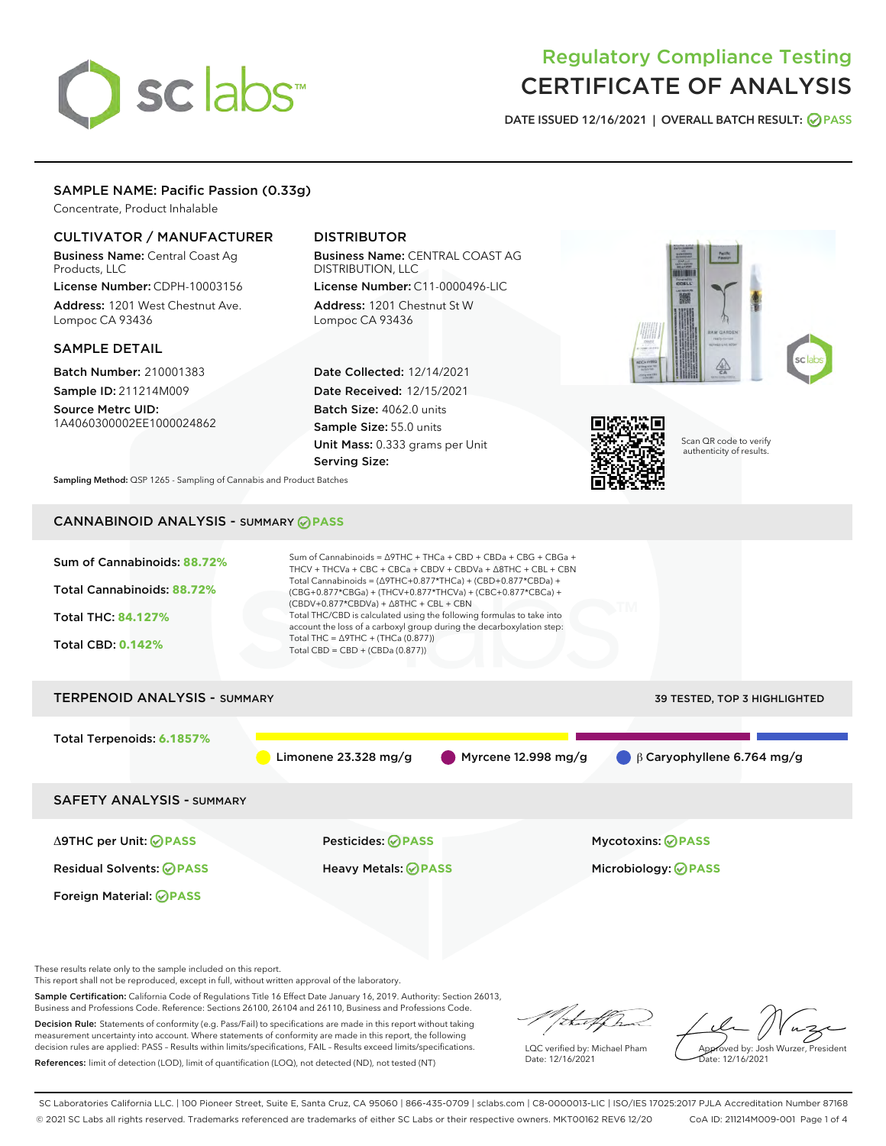# sclabs

# Regulatory Compliance Testing CERTIFICATE OF ANALYSIS

DATE ISSUED 12/16/2021 | OVERALL BATCH RESULT: @ PASS

# SAMPLE NAME: Pacific Passion (0.33g)

Concentrate, Product Inhalable

# CULTIVATOR / MANUFACTURER

Business Name: Central Coast Ag Products, LLC

License Number: CDPH-10003156 Address: 1201 West Chestnut Ave. Lompoc CA 93436

#### SAMPLE DETAIL

Batch Number: 210001383 Sample ID: 211214M009

Source Metrc UID: 1A4060300002EE1000024862

# DISTRIBUTOR

Business Name: CENTRAL COAST AG DISTRIBUTION, LLC License Number: C11-0000496-LIC

Address: 1201 Chestnut St W Lompoc CA 93436

Date Collected: 12/14/2021 Date Received: 12/15/2021 Batch Size: 4062.0 units Sample Size: 55.0 units Unit Mass: 0.333 grams per Unit Serving Size:





Scan QR code to verify authenticity of results.

Sampling Method: QSP 1265 - Sampling of Cannabis and Product Batches

# CANNABINOID ANALYSIS - SUMMARY **PASS**



These results relate only to the sample included on this report.

This report shall not be reproduced, except in full, without written approval of the laboratory.

Sample Certification: California Code of Regulations Title 16 Effect Date January 16, 2019. Authority: Section 26013, Business and Professions Code. Reference: Sections 26100, 26104 and 26110, Business and Professions Code.

Decision Rule: Statements of conformity (e.g. Pass/Fail) to specifications are made in this report without taking measurement uncertainty into account. Where statements of conformity are made in this report, the following decision rules are applied: PASS – Results within limits/specifications, FAIL – Results exceed limits/specifications. References: limit of detection (LOD), limit of quantification (LOQ), not detected (ND), not tested (NT)

that f In

LQC verified by: Michael Pham Date: 12/16/2021

Approved by: Josh Wurzer, President ate: 12/16/2021

SC Laboratories California LLC. | 100 Pioneer Street, Suite E, Santa Cruz, CA 95060 | 866-435-0709 | sclabs.com | C8-0000013-LIC | ISO/IES 17025:2017 PJLA Accreditation Number 87168 © 2021 SC Labs all rights reserved. Trademarks referenced are trademarks of either SC Labs or their respective owners. MKT00162 REV6 12/20 CoA ID: 211214M009-001 Page 1 of 4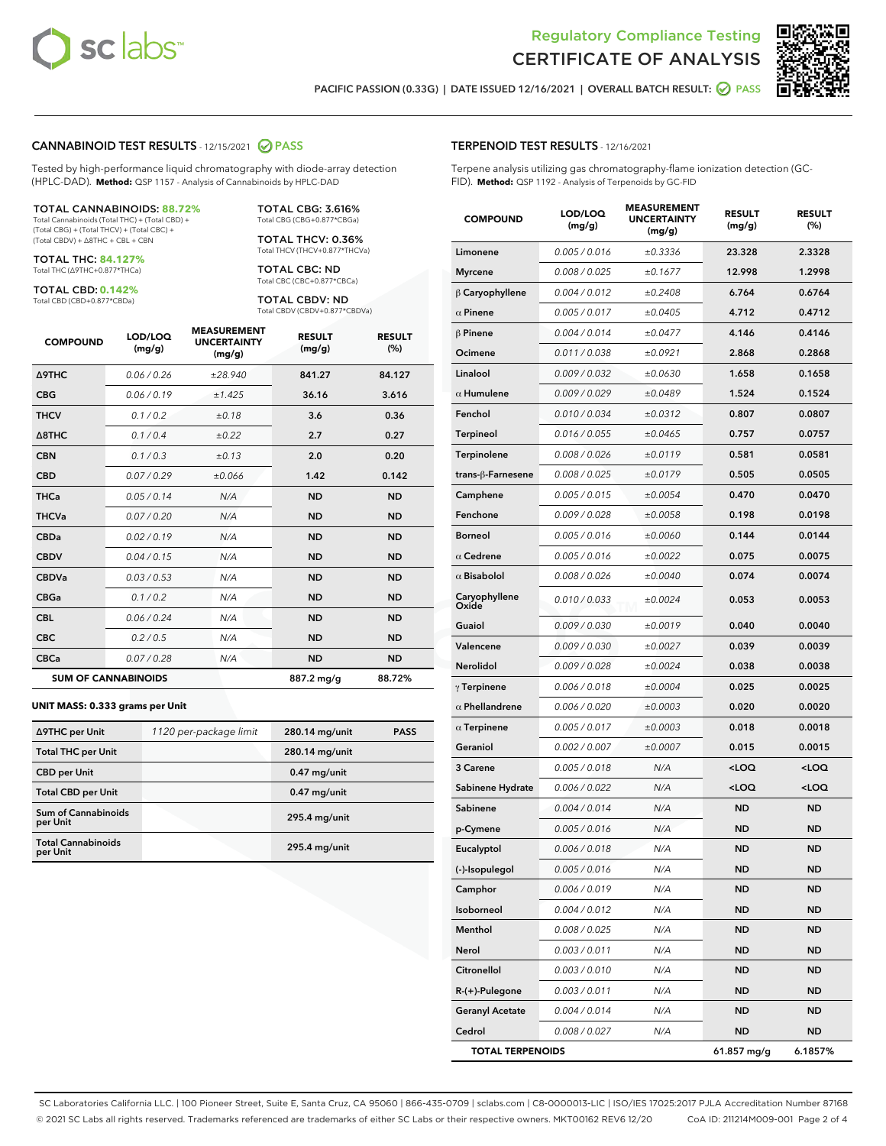



PACIFIC PASSION (0.33G) | DATE ISSUED 12/16/2021 | OVERALL BATCH RESULT: @ PASS

#### CANNABINOID TEST RESULTS - 12/15/2021 2 PASS

Tested by high-performance liquid chromatography with diode-array detection (HPLC-DAD). **Method:** QSP 1157 - Analysis of Cannabinoids by HPLC-DAD

#### TOTAL CANNABINOIDS: **88.72%**

Total Cannabinoids (Total THC) + (Total CBD) + (Total CBG) + (Total THCV) + (Total CBC) + (Total CBDV) + ∆8THC + CBL + CBN

TOTAL THC: **84.127%** Total THC (∆9THC+0.877\*THCa)

TOTAL CBD: **0.142%**

Total CBD (CBD+0.877\*CBDa)

TOTAL CBG: 3.616% Total CBG (CBG+0.877\*CBGa)

TOTAL THCV: 0.36% Total THCV (THCV+0.877\*THCVa)

TOTAL CBC: ND Total CBC (CBC+0.877\*CBCa)

TOTAL CBDV: ND Total CBDV (CBDV+0.877\*CBDVa)

| <b>COMPOUND</b>  | LOD/LOQ<br>(mg/g)          | <b>MEASUREMENT</b><br><b>UNCERTAINTY</b><br>(mg/g) | <b>RESULT</b><br>(mg/g) | <b>RESULT</b><br>(%) |
|------------------|----------------------------|----------------------------------------------------|-------------------------|----------------------|
| Δ9THC            | 0.06 / 0.26                | ±28.940                                            | 841.27                  | 84.127               |
| <b>CBG</b>       | 0.06/0.19                  | ±1.425                                             | 36.16                   | 3.616                |
| <b>THCV</b>      | 0.1/0.2                    | ±0.18                                              | 3.6                     | 0.36                 |
| $\triangle$ 8THC | 0.1/0.4                    | ±0.22                                              | 2.7                     | 0.27                 |
| <b>CBN</b>       | 0.1 / 0.3                  | ±0.13                                              | 2.0                     | 0.20                 |
| <b>CBD</b>       | 0.07/0.29                  | ±0.066                                             | 1.42                    | 0.142                |
| <b>THCa</b>      | 0.05/0.14                  | N/A                                                | <b>ND</b>               | <b>ND</b>            |
| <b>THCVa</b>     | 0.07 / 0.20                | N/A                                                | <b>ND</b>               | <b>ND</b>            |
| <b>CBDa</b>      | 0.02/0.19                  | N/A                                                | <b>ND</b>               | <b>ND</b>            |
| <b>CBDV</b>      | 0.04 / 0.15                | N/A                                                | <b>ND</b>               | <b>ND</b>            |
| <b>CBDVa</b>     | 0.03/0.53                  | N/A                                                | <b>ND</b>               | <b>ND</b>            |
| <b>CBGa</b>      | 0.1/0.2                    | N/A                                                | <b>ND</b>               | <b>ND</b>            |
| <b>CBL</b>       | 0.06 / 0.24                | N/A                                                | <b>ND</b>               | <b>ND</b>            |
| <b>CBC</b>       | 0.2 / 0.5                  | N/A                                                | <b>ND</b>               | <b>ND</b>            |
| <b>CBCa</b>      | 0.07 / 0.28                | N/A                                                | <b>ND</b>               | <b>ND</b>            |
|                  | <b>SUM OF CANNABINOIDS</b> |                                                    | 887.2 mg/g              | 88.72%               |

#### **UNIT MASS: 0.333 grams per Unit**

| ∆9THC per Unit                         | 1120 per-package limit | 280.14 mg/unit  | <b>PASS</b> |
|----------------------------------------|------------------------|-----------------|-------------|
| <b>Total THC per Unit</b>              |                        | 280.14 mg/unit  |             |
| <b>CBD per Unit</b>                    |                        | $0.47$ mg/unit  |             |
| <b>Total CBD per Unit</b>              |                        | $0.47$ mg/unit  |             |
| <b>Sum of Cannabinoids</b><br>per Unit |                        | $295.4$ mg/unit |             |
| <b>Total Cannabinoids</b><br>per Unit  |                        | $295.4$ mg/unit |             |

| <b>COMPOUND</b>         | LOD/LOQ<br>(mg/g) | <b>MJUREIVI</b><br><b>UNCERTAINTY</b><br>(mg/g) | <b>RESULT</b><br>(mg/g)                         | <b>RESULT</b><br>$(\%)$ |
|-------------------------|-------------------|-------------------------------------------------|-------------------------------------------------|-------------------------|
| Limonene                | 0.005 / 0.016     | ±0.3336                                         | 23.328                                          | 2.3328                  |
| Myrcene                 | 0.008 / 0.025     | ±0.1677                                         | 12.998                                          | 1.2998                  |
| $\beta$ Caryophyllene   | 0.004 / 0.012     | ±0.2408                                         | 6.764                                           | 0.6764                  |
| $\alpha$ Pinene         | 0.005 / 0.017     | ±0.0405                                         | 4.712                                           | 0.4712                  |
| $\beta$ Pinene          | 0.004 / 0.014     | ±0.0477                                         | 4.146                                           | 0.4146                  |
| Ocimene                 | 0.011 / 0.038     | ±0.0921                                         | 2.868                                           | 0.2868                  |
| Linalool                | 0.009 / 0.032     | ±0.0630                                         | 1.658                                           | 0.1658                  |
| $\alpha$ Humulene       | 0.009/0.029       | ±0.0489                                         | 1.524                                           | 0.1524                  |
| Fenchol                 | 0.010 / 0.034     | ±0.0312                                         | 0.807                                           | 0.0807                  |
| <b>Terpineol</b>        | 0.016 / 0.055     | ±0.0465                                         | 0.757                                           | 0.0757                  |
| Terpinolene             | 0.008 / 0.026     | ±0.0119                                         | 0.581                                           | 0.0581                  |
| trans-ß-Farnesene       | 0.008 / 0.025     | ±0.0179                                         | 0.505                                           | 0.0505                  |
| Camphene                | 0.005 / 0.015     | ±0.0054                                         | 0.470                                           | 0.0470                  |
| Fenchone                | 0.009 / 0.028     | ±0.0058                                         | 0.198                                           | 0.0198                  |
| Borneol                 | 0.005 / 0.016     | ±0.0060                                         | 0.144                                           | 0.0144                  |
| $\alpha$ Cedrene        | 0.005 / 0.016     | ±0.0022                                         | 0.075                                           | 0.0075                  |
| $\alpha$ Bisabolol      | 0.008 / 0.026     | ±0.0040                                         | 0.074                                           | 0.0074                  |
| Caryophyllene<br>Oxide  | 0.010 / 0.033     | ±0.0024                                         | 0.053                                           | 0.0053                  |
| Guaiol                  | 0.009 / 0.030     | ±0.0019                                         | 0.040                                           | 0.0040                  |
| Valencene               | 0.009 / 0.030     | ±0.0027                                         | 0.039                                           | 0.0039                  |
| Nerolidol               | 0.009 / 0.028     | ±0.0024                                         | 0.038                                           | 0.0038                  |
| $\gamma$ Terpinene      | 0.006 / 0.018     | ±0.0004                                         | 0.025                                           | 0.0025                  |
| $\alpha$ Phellandrene   | 0.006 / 0.020     | ±0.0003                                         | 0.020                                           | 0.0020                  |
| $\alpha$ Terpinene      | 0.005 / 0.017     | ±0.0003                                         | 0.018                                           | 0.0018                  |
| Geraniol                | 0.002 / 0.007     | ±0.0007                                         | 0.015                                           | 0.0015                  |
| 3 Carene                | 0.005 / 0.018     | N/A                                             | <loq< th=""><th><loq< th=""></loq<></th></loq<> | <loq< th=""></loq<>     |
| Sabinene Hydrate        | 0.006 / 0.022     | N/A                                             | <loq< th=""><th><loq< th=""></loq<></th></loq<> | <loq< th=""></loq<>     |
| Sabinene                | 0.004 / 0.014     | N/A                                             | <b>ND</b>                                       | <b>ND</b>               |
| p-Cymene                | 0.005 / 0.016     | N/A                                             | <b>ND</b>                                       | <b>ND</b>               |
| Eucalyptol              | 0.006 / 0.018     | N/A                                             | <b>ND</b>                                       | <b>ND</b>               |
| (-)-Isopulegol          | 0.005 / 0.016     | N/A                                             | ND                                              | <b>ND</b>               |
| Camphor                 | 0.006 / 0.019     | N/A                                             | ND                                              | ND                      |
| Isoborneol              | 0.004 / 0.012     | N/A                                             | <b>ND</b>                                       | <b>ND</b>               |
| Menthol                 | 0.008 / 0.025     | N/A                                             | ND                                              | ND                      |
| Nerol                   | 0.003 / 0.011     | N/A                                             | ND                                              | <b>ND</b>               |
| Citronellol             | 0.003 / 0.010     | N/A                                             | <b>ND</b>                                       | <b>ND</b>               |
| R-(+)-Pulegone          | 0.003 / 0.011     | N/A                                             | ND                                              | ND                      |
| <b>Geranyl Acetate</b>  | 0.004 / 0.014     | N/A                                             | ND                                              | ND                      |
| Cedrol                  | 0.008 / 0.027     | N/A                                             | ND                                              | <b>ND</b>               |
| <b>TOTAL TERPENOIDS</b> |                   |                                                 | 61.857 mg/g                                     | 6.1857%                 |

SC Laboratories California LLC. | 100 Pioneer Street, Suite E, Santa Cruz, CA 95060 | 866-435-0709 | sclabs.com | C8-0000013-LIC | ISO/IES 17025:2017 PJLA Accreditation Number 87168 © 2021 SC Labs all rights reserved. Trademarks referenced are trademarks of either SC Labs or their respective owners. MKT00162 REV6 12/20 CoA ID: 211214M009-001 Page 2 of 4

# TERPENOID TEST RESULTS - 12/16/2021

Terpene analysis utilizing gas chromatography-flame ionization detection (GC-FID). **Method:** QSP 1192 - Analysis of Terpenoids by GC-FID

MEACUREMENT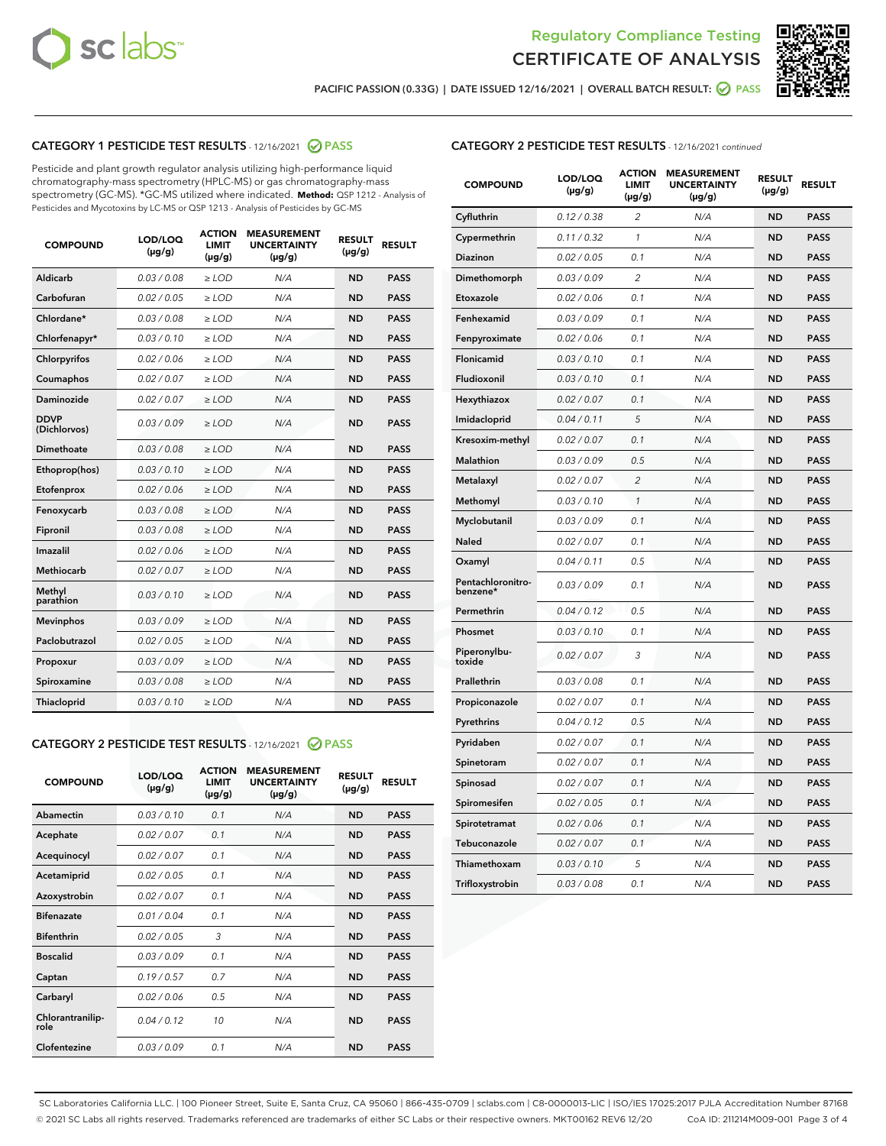



PACIFIC PASSION (0.33G) | DATE ISSUED 12/16/2021 | OVERALL BATCH RESULT: ● PASS

# CATEGORY 1 PESTICIDE TEST RESULTS - 12/16/2021 @ PASS

Pesticide and plant growth regulator analysis utilizing high-performance liquid chromatography-mass spectrometry (HPLC-MS) or gas chromatography-mass spectrometry (GC-MS). \*GC-MS utilized where indicated. **Method:** QSP 1212 - Analysis of Pesticides and Mycotoxins by LC-MS or QSP 1213 - Analysis of Pesticides by GC-MS

| 0.03/0.08<br><b>ND</b><br>Aldicarb<br>$>$ LOD<br>N/A<br><b>PASS</b><br>Carbofuran<br>0.02 / 0.05<br><b>ND</b><br><b>PASS</b><br>$>$ LOD<br>N/A<br>Chlordane*<br>0.03 / 0.08<br>N/A<br><b>ND</b><br><b>PASS</b><br>$\ge$ LOD<br>Chlorfenapyr*<br>0.03/0.10<br><b>ND</b><br><b>PASS</b><br>$\ge$ LOD<br>N/A<br>N/A<br><b>ND</b><br><b>PASS</b><br>Chlorpyrifos<br>0.02 / 0.06<br>$\ge$ LOD<br>Coumaphos<br>0.02 / 0.07<br>N/A<br><b>ND</b><br><b>PASS</b><br>$\ge$ LOD<br>Daminozide<br>0.02 / 0.07<br>N/A<br><b>ND</b><br><b>PASS</b><br>$\ge$ LOD<br><b>DDVP</b><br>0.03/0.09<br>$>$ LOD<br>N/A<br><b>ND</b><br><b>PASS</b><br>(Dichlorvos)<br>Dimethoate<br>0.03/0.08<br>$>$ LOD<br>N/A<br><b>ND</b><br><b>PASS</b><br>0.03/0.10<br><b>ND</b><br><b>PASS</b><br>Ethoprop(hos)<br>$\ge$ LOD<br>N/A<br>0.02 / 0.06<br>N/A<br><b>ND</b><br><b>PASS</b><br>Etofenprox<br>$\ge$ LOD<br>Fenoxycarb<br>0.03 / 0.08<br>N/A<br><b>ND</b><br><b>PASS</b><br>$\ge$ LOD<br>0.03/0.08<br><b>ND</b><br><b>PASS</b><br>Fipronil<br>$\ge$ LOD<br>N/A<br>Imazalil<br>0.02 / 0.06<br>$\ge$ LOD<br>N/A<br><b>ND</b><br><b>PASS</b><br>Methiocarb<br>0.02 / 0.07<br><b>PASS</b><br>$\ge$ LOD<br>N/A<br><b>ND</b><br>Methyl<br>0.03/0.10<br>$\ge$ LOD<br>N/A<br><b>ND</b><br><b>PASS</b><br>parathion<br>0.03/0.09<br><b>ND</b><br><b>Mevinphos</b><br>$\ge$ LOD<br>N/A<br><b>PASS</b><br>Paclobutrazol<br>0.02 / 0.05<br>$\ge$ LOD<br>N/A<br><b>ND</b><br><b>PASS</b><br>0.03/0.09<br>$\ge$ LOD<br>N/A<br><b>ND</b><br><b>PASS</b><br>Propoxur<br>Spiroxamine<br>0.03 / 0.08<br>$\ge$ LOD<br>N/A<br><b>ND</b><br><b>PASS</b><br>0.03/0.10<br><b>ND</b><br><b>PASS</b><br><b>Thiacloprid</b><br>$\ge$ LOD<br>N/A | <b>COMPOUND</b> | LOD/LOQ<br>$(\mu g/g)$ | <b>ACTION</b><br>LIMIT<br>$(\mu g/g)$ | <b>MEASUREMENT</b><br><b>UNCERTAINTY</b><br>$(\mu g/g)$ | <b>RESULT</b><br>$(\mu g/g)$ | <b>RESULT</b> |
|----------------------------------------------------------------------------------------------------------------------------------------------------------------------------------------------------------------------------------------------------------------------------------------------------------------------------------------------------------------------------------------------------------------------------------------------------------------------------------------------------------------------------------------------------------------------------------------------------------------------------------------------------------------------------------------------------------------------------------------------------------------------------------------------------------------------------------------------------------------------------------------------------------------------------------------------------------------------------------------------------------------------------------------------------------------------------------------------------------------------------------------------------------------------------------------------------------------------------------------------------------------------------------------------------------------------------------------------------------------------------------------------------------------------------------------------------------------------------------------------------------------------------------------------------------------------------------------------------------------------------------------------------------------------------------------------|-----------------|------------------------|---------------------------------------|---------------------------------------------------------|------------------------------|---------------|
|                                                                                                                                                                                                                                                                                                                                                                                                                                                                                                                                                                                                                                                                                                                                                                                                                                                                                                                                                                                                                                                                                                                                                                                                                                                                                                                                                                                                                                                                                                                                                                                                                                                                                              |                 |                        |                                       |                                                         |                              |               |
|                                                                                                                                                                                                                                                                                                                                                                                                                                                                                                                                                                                                                                                                                                                                                                                                                                                                                                                                                                                                                                                                                                                                                                                                                                                                                                                                                                                                                                                                                                                                                                                                                                                                                              |                 |                        |                                       |                                                         |                              |               |
|                                                                                                                                                                                                                                                                                                                                                                                                                                                                                                                                                                                                                                                                                                                                                                                                                                                                                                                                                                                                                                                                                                                                                                                                                                                                                                                                                                                                                                                                                                                                                                                                                                                                                              |                 |                        |                                       |                                                         |                              |               |
|                                                                                                                                                                                                                                                                                                                                                                                                                                                                                                                                                                                                                                                                                                                                                                                                                                                                                                                                                                                                                                                                                                                                                                                                                                                                                                                                                                                                                                                                                                                                                                                                                                                                                              |                 |                        |                                       |                                                         |                              |               |
|                                                                                                                                                                                                                                                                                                                                                                                                                                                                                                                                                                                                                                                                                                                                                                                                                                                                                                                                                                                                                                                                                                                                                                                                                                                                                                                                                                                                                                                                                                                                                                                                                                                                                              |                 |                        |                                       |                                                         |                              |               |
|                                                                                                                                                                                                                                                                                                                                                                                                                                                                                                                                                                                                                                                                                                                                                                                                                                                                                                                                                                                                                                                                                                                                                                                                                                                                                                                                                                                                                                                                                                                                                                                                                                                                                              |                 |                        |                                       |                                                         |                              |               |
|                                                                                                                                                                                                                                                                                                                                                                                                                                                                                                                                                                                                                                                                                                                                                                                                                                                                                                                                                                                                                                                                                                                                                                                                                                                                                                                                                                                                                                                                                                                                                                                                                                                                                              |                 |                        |                                       |                                                         |                              |               |
|                                                                                                                                                                                                                                                                                                                                                                                                                                                                                                                                                                                                                                                                                                                                                                                                                                                                                                                                                                                                                                                                                                                                                                                                                                                                                                                                                                                                                                                                                                                                                                                                                                                                                              |                 |                        |                                       |                                                         |                              |               |
|                                                                                                                                                                                                                                                                                                                                                                                                                                                                                                                                                                                                                                                                                                                                                                                                                                                                                                                                                                                                                                                                                                                                                                                                                                                                                                                                                                                                                                                                                                                                                                                                                                                                                              |                 |                        |                                       |                                                         |                              |               |
|                                                                                                                                                                                                                                                                                                                                                                                                                                                                                                                                                                                                                                                                                                                                                                                                                                                                                                                                                                                                                                                                                                                                                                                                                                                                                                                                                                                                                                                                                                                                                                                                                                                                                              |                 |                        |                                       |                                                         |                              |               |
|                                                                                                                                                                                                                                                                                                                                                                                                                                                                                                                                                                                                                                                                                                                                                                                                                                                                                                                                                                                                                                                                                                                                                                                                                                                                                                                                                                                                                                                                                                                                                                                                                                                                                              |                 |                        |                                       |                                                         |                              |               |
|                                                                                                                                                                                                                                                                                                                                                                                                                                                                                                                                                                                                                                                                                                                                                                                                                                                                                                                                                                                                                                                                                                                                                                                                                                                                                                                                                                                                                                                                                                                                                                                                                                                                                              |                 |                        |                                       |                                                         |                              |               |
|                                                                                                                                                                                                                                                                                                                                                                                                                                                                                                                                                                                                                                                                                                                                                                                                                                                                                                                                                                                                                                                                                                                                                                                                                                                                                                                                                                                                                                                                                                                                                                                                                                                                                              |                 |                        |                                       |                                                         |                              |               |
|                                                                                                                                                                                                                                                                                                                                                                                                                                                                                                                                                                                                                                                                                                                                                                                                                                                                                                                                                                                                                                                                                                                                                                                                                                                                                                                                                                                                                                                                                                                                                                                                                                                                                              |                 |                        |                                       |                                                         |                              |               |
|                                                                                                                                                                                                                                                                                                                                                                                                                                                                                                                                                                                                                                                                                                                                                                                                                                                                                                                                                                                                                                                                                                                                                                                                                                                                                                                                                                                                                                                                                                                                                                                                                                                                                              |                 |                        |                                       |                                                         |                              |               |
|                                                                                                                                                                                                                                                                                                                                                                                                                                                                                                                                                                                                                                                                                                                                                                                                                                                                                                                                                                                                                                                                                                                                                                                                                                                                                                                                                                                                                                                                                                                                                                                                                                                                                              |                 |                        |                                       |                                                         |                              |               |
|                                                                                                                                                                                                                                                                                                                                                                                                                                                                                                                                                                                                                                                                                                                                                                                                                                                                                                                                                                                                                                                                                                                                                                                                                                                                                                                                                                                                                                                                                                                                                                                                                                                                                              |                 |                        |                                       |                                                         |                              |               |
|                                                                                                                                                                                                                                                                                                                                                                                                                                                                                                                                                                                                                                                                                                                                                                                                                                                                                                                                                                                                                                                                                                                                                                                                                                                                                                                                                                                                                                                                                                                                                                                                                                                                                              |                 |                        |                                       |                                                         |                              |               |
|                                                                                                                                                                                                                                                                                                                                                                                                                                                                                                                                                                                                                                                                                                                                                                                                                                                                                                                                                                                                                                                                                                                                                                                                                                                                                                                                                                                                                                                                                                                                                                                                                                                                                              |                 |                        |                                       |                                                         |                              |               |
|                                                                                                                                                                                                                                                                                                                                                                                                                                                                                                                                                                                                                                                                                                                                                                                                                                                                                                                                                                                                                                                                                                                                                                                                                                                                                                                                                                                                                                                                                                                                                                                                                                                                                              |                 |                        |                                       |                                                         |                              |               |
|                                                                                                                                                                                                                                                                                                                                                                                                                                                                                                                                                                                                                                                                                                                                                                                                                                                                                                                                                                                                                                                                                                                                                                                                                                                                                                                                                                                                                                                                                                                                                                                                                                                                                              |                 |                        |                                       |                                                         |                              |               |

# CATEGORY 2 PESTICIDE TEST RESULTS - 12/16/2021 @ PASS

| <b>COMPOUND</b>          | LOD/LOO<br>$(\mu g/g)$ | <b>ACTION</b><br>LIMIT<br>$(\mu g/g)$ | <b>MEASUREMENT</b><br><b>UNCERTAINTY</b><br>$(\mu g/g)$ | <b>RESULT</b><br>$(\mu g/g)$ | <b>RESULT</b> |  |
|--------------------------|------------------------|---------------------------------------|---------------------------------------------------------|------------------------------|---------------|--|
| Abamectin                | 0.03/0.10              | 0.1                                   | N/A                                                     | <b>ND</b>                    | <b>PASS</b>   |  |
| Acephate                 | 0.02/0.07              | 0.1                                   | N/A                                                     | <b>ND</b>                    | <b>PASS</b>   |  |
| Acequinocyl              | 0.02/0.07              | 0.1                                   | N/A                                                     | <b>ND</b>                    | <b>PASS</b>   |  |
| Acetamiprid              | 0.02/0.05              | 0.1                                   | N/A                                                     | <b>ND</b>                    | <b>PASS</b>   |  |
| Azoxystrobin             | 0.02/0.07              | 0.1                                   | N/A                                                     | <b>ND</b>                    | <b>PASS</b>   |  |
| <b>Bifenazate</b>        | 0.01/0.04              | 0.1                                   | N/A                                                     | <b>ND</b>                    | <b>PASS</b>   |  |
| <b>Bifenthrin</b>        | 0.02/0.05              | 3                                     | N/A                                                     | <b>ND</b>                    | <b>PASS</b>   |  |
| <b>Boscalid</b>          | 0.03/0.09              | 0.1                                   | N/A                                                     | <b>ND</b>                    | <b>PASS</b>   |  |
| Captan                   | 0.19/0.57              | 0.7                                   | N/A                                                     | <b>ND</b>                    | <b>PASS</b>   |  |
| Carbaryl                 | 0.02/0.06              | 0.5                                   | N/A                                                     | <b>ND</b>                    | <b>PASS</b>   |  |
| Chlorantranilip-<br>role | 0.04/0.12              | 10                                    | N/A                                                     | <b>ND</b>                    | <b>PASS</b>   |  |
| Clofentezine             | 0.03/0.09              | 0.1                                   | N/A                                                     | <b>ND</b>                    | <b>PASS</b>   |  |

# CATEGORY 2 PESTICIDE TEST RESULTS - 12/16/2021 continued

| <b>COMPOUND</b>               | LOD/LOQ<br>(µg/g) | <b>ACTION</b><br><b>LIMIT</b><br>(µg/g) | <b>MEASUREMENT</b><br><b>UNCERTAINTY</b><br>(µg/g) | <b>RESULT</b><br>(µg/g) | <b>RESULT</b> |
|-------------------------------|-------------------|-----------------------------------------|----------------------------------------------------|-------------------------|---------------|
| Cyfluthrin                    | 0.12 / 0.38       | $\overline{c}$                          | N/A                                                | <b>ND</b>               | <b>PASS</b>   |
| Cypermethrin                  | 0.11/0.32         | 1                                       | N/A                                                | <b>ND</b>               | <b>PASS</b>   |
| <b>Diazinon</b>               | 0.02 / 0.05       | 0.1                                     | N/A                                                | <b>ND</b>               | <b>PASS</b>   |
| Dimethomorph                  | 0.03 / 0.09       | 2                                       | N/A                                                | <b>ND</b>               | <b>PASS</b>   |
| Etoxazole                     | 0.02 / 0.06       | 0.1                                     | N/A                                                | <b>ND</b>               | <b>PASS</b>   |
| Fenhexamid                    | 0.03 / 0.09       | 0.1                                     | N/A                                                | <b>ND</b>               | <b>PASS</b>   |
| Fenpyroximate                 | 0.02 / 0.06       | 0.1                                     | N/A                                                | <b>ND</b>               | <b>PASS</b>   |
| Flonicamid                    | 0.03/0.10         | 0.1                                     | N/A                                                | <b>ND</b>               | <b>PASS</b>   |
| Fludioxonil                   | 0.03 / 0.10       | 0.1                                     | N/A                                                | <b>ND</b>               | <b>PASS</b>   |
| Hexythiazox                   | 0.02 / 0.07       | 0.1                                     | N/A                                                | <b>ND</b>               | <b>PASS</b>   |
| Imidacloprid                  | 0.04 / 0.11       | 5                                       | N/A                                                | <b>ND</b>               | <b>PASS</b>   |
| Kresoxim-methyl               | 0.02 / 0.07       | 0.1                                     | N/A                                                | <b>ND</b>               | <b>PASS</b>   |
| <b>Malathion</b>              | 0.03 / 0.09       | 0.5                                     | N/A                                                | <b>ND</b>               | <b>PASS</b>   |
| Metalaxyl                     | 0.02 / 0.07       | $\overline{c}$                          | N/A                                                | <b>ND</b>               | <b>PASS</b>   |
| Methomyl                      | 0.03 / 0.10       | 1                                       | N/A                                                | <b>ND</b>               | <b>PASS</b>   |
| Myclobutanil                  | 0.03 / 0.09       | 0.1                                     | N/A                                                | <b>ND</b>               | <b>PASS</b>   |
| Naled                         | 0.02 / 0.07       | 0.1                                     | N/A                                                | <b>ND</b>               | <b>PASS</b>   |
| Oxamyl                        | 0.04 / 0.11       | 0.5                                     | N/A                                                | <b>ND</b>               | <b>PASS</b>   |
| Pentachloronitro-<br>benzene* | 0.03 / 0.09       | 0.1                                     | N/A                                                | <b>ND</b>               | <b>PASS</b>   |
| Permethrin                    | 0.04 / 0.12       | 0.5                                     | N/A                                                | <b>ND</b>               | <b>PASS</b>   |
| Phosmet                       | 0.03 / 0.10       | 0.1                                     | N/A                                                | <b>ND</b>               | <b>PASS</b>   |
| Piperonylbu-<br>toxide        | 0.02 / 0.07       | 3                                       | N/A                                                | <b>ND</b>               | <b>PASS</b>   |
| Prallethrin                   | 0.03 / 0.08       | 0.1                                     | N/A                                                | <b>ND</b>               | <b>PASS</b>   |
| Propiconazole                 | 0.02 / 0.07       | 0.1                                     | N/A                                                | <b>ND</b>               | <b>PASS</b>   |
| Pyrethrins                    | 0.04 / 0.12       | 0.5                                     | N/A                                                | ND                      | <b>PASS</b>   |
| Pyridaben                     | 0.02 / 0.07       | 0.1                                     | N/A                                                | <b>ND</b>               | <b>PASS</b>   |
| Spinetoram                    | 0.02 / 0.07       | 0.1                                     | N/A                                                | <b>ND</b>               | <b>PASS</b>   |
| Spinosad                      | 0.02 / 0.07       | 0.1                                     | N/A                                                | <b>ND</b>               | <b>PASS</b>   |
| Spiromesifen                  | 0.02 / 0.05       | 0.1                                     | N/A                                                | <b>ND</b>               | <b>PASS</b>   |
| Spirotetramat                 | 0.02 / 0.06       | 0.1                                     | N/A                                                | <b>ND</b>               | <b>PASS</b>   |
| Tebuconazole                  | 0.02 / 0.07       | 0.1                                     | N/A                                                | <b>ND</b>               | <b>PASS</b>   |
| Thiamethoxam                  | 0.03 / 0.10       | 5                                       | N/A                                                | <b>ND</b>               | <b>PASS</b>   |
| Trifloxystrobin               | 0.03 / 0.08       | 0.1                                     | N/A                                                | <b>ND</b>               | <b>PASS</b>   |

SC Laboratories California LLC. | 100 Pioneer Street, Suite E, Santa Cruz, CA 95060 | 866-435-0709 | sclabs.com | C8-0000013-LIC | ISO/IES 17025:2017 PJLA Accreditation Number 87168 © 2021 SC Labs all rights reserved. Trademarks referenced are trademarks of either SC Labs or their respective owners. MKT00162 REV6 12/20 CoA ID: 211214M009-001 Page 3 of 4